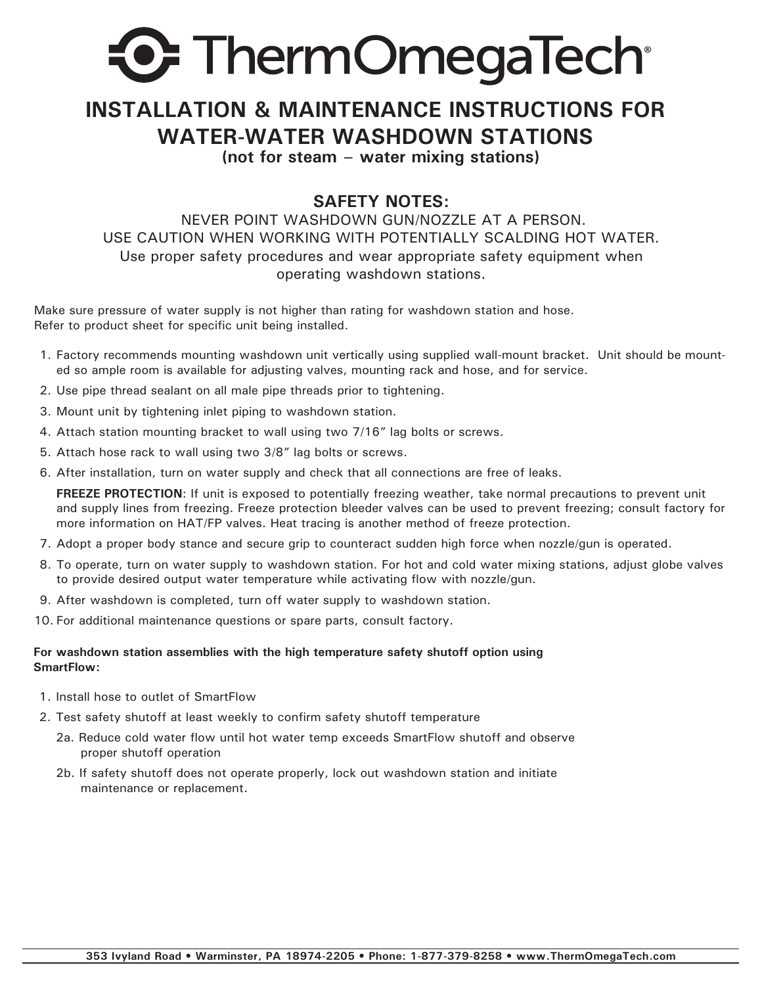

## **INSTALLATION & MAINTENANCE INSTRUCTIONS FOR WATER-WATER WASHDOWN STATIONS**

**(not for steam – water mixing stations)**

## **SAFETY NOTES:**

 NEVER POINT WASHDOWN GUN/NOZZLE AT A PERSON. USE CAUTION WHEN WORKING WITH POTENTIALLY SCALDING HOT WATER. Use proper safety procedures and wear appropriate safety equipment when operating washdown stations.

Make sure pressure of water supply is not higher than rating for washdown station and hose. Refer to product sheet for specific unit being installed.

- 1. Factory recommends mounting washdown unit vertically using supplied wall-mount bracket. Unit should be mounted so ample room is available for adjusting valves, mounting rack and hose, and for service.
- 2. Use pipe thread sealant on all male pipe threads prior to tightening.
- 3. Mount unit by tightening inlet piping to washdown station.
- 4. Attach station mounting bracket to wall using two 7/16" lag bolts or screws.
- 5. Attach hose rack to wall using two 3/8" lag bolts or screws.
- 6. After installation, turn on water supply and check that all connections are free of leaks.

**FREEZE PROTECTION**: If unit is exposed to potentially freezing weather, take normal precautions to prevent unit and supply lines from freezing. Freeze protection bleeder valves can be used to prevent freezing; consult factory for more information on HAT/FP valves. Heat tracing is another method of freeze protection.

- 7. Adopt a proper body stance and secure grip to counteract sudden high force when nozzle/gun is operated.
- 8. To operate, turn on water supply to washdown station. For hot and cold water mixing stations, adjust globe valves to provide desired output water temperature while activating flow with nozzle/gun.
- 9. After washdown is completed, turn off water supply to washdown station.
- 10. For additional maintenance questions or spare parts, consult factory.

## **For washdown station assemblies with the high temperature safety shutoff option using SmartFlow:**

- 1. Install hose to outlet of SmartFlow
- 2. Test safety shutoff at least weekly to confirm safety shutoff temperature
	- 2a. Reduce cold water flow until hot water temp exceeds SmartFlow shutoff and observe proper shutoff operation
	- 2b. If safety shutoff does not operate properly, lock out washdown station and initiate maintenance or replacement.